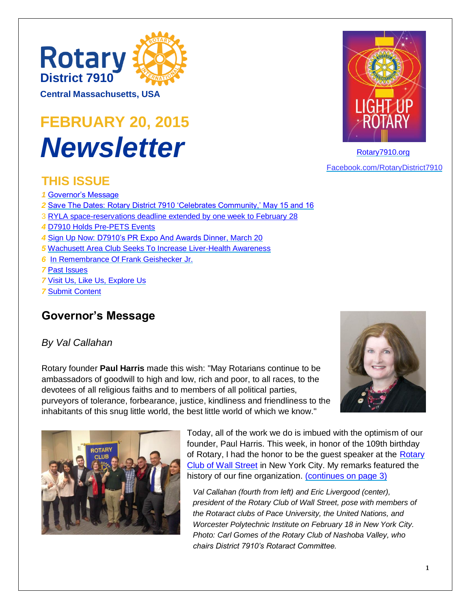

**Central Massachusetts, USA**

# **FEBRUARY 20, 2015** *Newsletter*

#### **THIS ISSUE**

- *1* [Governor's Message](#page-0-0)
- *2* [Save The Dates: Rotary District 7910 'Celebrates Community,' May 15 and 16](#page-1-0)
- 3 [RYLA space-reservations deadline extended by one week to February 28](#page-2-0)
- *4* [D7910 Holds Pre-PETS Events](#page-3-0)
- *4* [Sign Up Now: D7910's PR Expo And Awards Dinner, March 20](#page-3-1)
- *5* Wachusett Area Club Seeks To Increase Liver-Health Awareness
- *6* [In Remembrance Of Frank Geishecker Jr.](#page-5-0)

*7* [Past Issues](#page-6-0)

*7* [Visit Us, Like Us, Explore Us](#page-6-1)

*7* [Submit Content](#page-6-2)

### <span id="page-0-0"></span>**Governor's Message**

#### *By Val Callahan*

Rotary founder **Paul Harris** made this wish: "May Rotarians continue to be ambassadors of goodwill to high and low, rich and poor, to all races, to the devotees of all religious faiths and to members of all political parties, purveyors of tolerance, forbearance, justice, kindliness and friendliness to the inhabitants of this snug little world, the best little world of which we know."





Today, all of the work we do is imbued with the optimism of our founder, Paul Harris. This week, in honor of the 109th birthday of Rotary, I had the honor to be the quest speaker at the Rotary [Club of Wall Street](http://wallstreetrotary.org/) in New York City. My remarks featured the history of our fine organization. [\(continues on page 3\)](#page-2-1)

*Val Callahan (fourth from left) and Eric Livergood (center), president of the Rotary Club of Wall Street, pose with members of the Rotaract clubs of Pace University, the United Nations, and Worcester Polytechnic Institute on February 18 in New York City. Photo: Carl Gomes of the Rotary Club of Nashoba Valley, who chairs District 7910's Rotaract Committee.*



[Rotary7910.org](http://www.rotary7910.org/) [Facebook.com/RotaryDistrict7910](http://www.facebook.com/RotaryDistrict7910)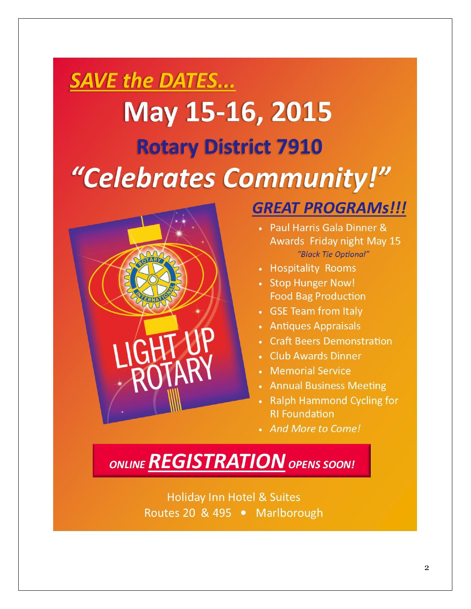# <span id="page-1-0"></span>**SAVE the DATES...** May 15-16, 2015 **Rotary District 7910** "Celebrates Community!"



# **GREAT PROGRAMS!!!**

- Paul Harris Gala Dinner & Awards Friday night May 15 "Black Tie Optional"
- Hospitality Rooms
- Stop Hunger Now! **Food Bag Production**
- GSE Team from Italy
- Antiques Appraisals
- Craft Beers Demonstration
- Club Awards Dinner
- Memorial Service
- Annual Business Meeting
- **Ralph Hammond Cycling for RI Foundation**
- And More to Come!

ONLINE REGISTRATION OPENS SOON!

**Holiday Inn Hotel & Suites** Routes 20 & 495 • Marlborough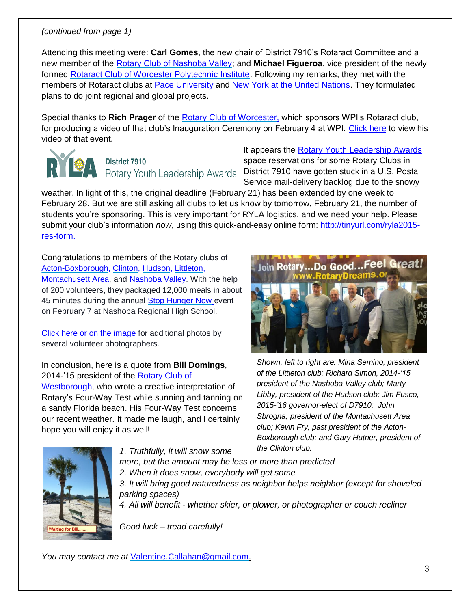#### <span id="page-2-1"></span>*(continued from page 1)*

Attending this meeting were: **Carl Gomes**, the new chair of District 7910's Rotaract Committee and a new member of the [Rotary Club of Nashoba Valley;](http://www.nashobarotary.org/) and **Michael Figueroa**, vice president of the newly formed [Rotaract Club of Worcester Polytechnic Institute.](https://www.facebook.com/pages/Rotaract-Club-of-Worcester-Polytechnic-Institute/831250296918099) Following my remarks, they met with the members of Rotaract clubs at [Pace University](https://www.facebook.com/PaceRotaractClub/info) and [New York at the United Nations.](http://www.rotaractnyc.org/) They formulated plans to do joint regional and global projects.

Special thanks to **Rich Prager** of the [Rotary Club of Worcester,](http://www.worcrotaryusa.org/) which sponsors WPI's Rotaract club, for producing a video of that club's Inauguration Ceremony on February 4 at WPI. [Click here](https://www.youtube.com/watch?v=knnXtDwtvB8) to view his video of that event.



# **District 7910**

It appears the [Rotary Youth Leadership Awards](http://www.ryla7910.org/) space reservations for some Rotary Clubs in Rotary Youth Leadership Awards District 7910 have gotten stuck in a U.S. Postal Service mail-delivery backlog due to the snowy

weather. In light of this, the original deadline (February 21) has been extended by one week to February 28. But we are still asking all clubs to let us know by tomorrow, February 21, the number of students you're sponsoring. This is very important for RYLA logistics, and we need your help. Please submit your club's information *now*, using this quick-and-easy online form: [http://tinyurl.com/ryla2015](http://tinyurl.com/ryla2015-res-form) [res-form.](http://tinyurl.com/ryla2015-res-form)

Congratulations to members of the Rotary clubs of [Acton-Boxborough,](http://www.actonboxboroughrotary.org/) [Clinton,](http://www.clubrunner.ca/Portal/Home.aspx?accountid=3683) [Hudson,](https://www.facebook.com/HudsonRotaryClub) [Littleton,](http://www.littleton-ma.us/) [Montachusett Area,](http://portal.clubrunner.ca/3547) and [Nashoba Valley.](http://www.nashobarotary.org/) With the help of 200 volunteers, they packaged 12,000 meals in about 45 minutes during the annual [Stop Hunger Now](http://www.stophungernow.org/) event on February 7 at Nashoba Regional High School.

[Click here or on the image](https://www.facebook.com/NashobaRotary/photos/ms.c.eJw9z8kNRDEIA9CORiQshv4bG8l85~;hkVsDbsrIs7sH5YX0urDvu8~_b5GUWXvXwcmdYy1q9~;OM9D~;bH9ytvoLDlYf0bmvGjVj23u8l3r~;inaIDvnx6vvzfXPgLl~;~_8qc~_6rk~;d9T5n2YVz~;r7786tnb5cl7iD9HWSu4~-.bps.a.773805596042177.1073741894.401300053292735/773805656042171/?type=1&theater) for additional photos by several volunteer photographers.

In conclusion, here is a quote from **Bill Domings**, 2014-'15 president of the [Rotary Club of](http://www.westboroughrotary.org/) 

[Westborough,](http://www.westboroughrotary.org/) who wrote a creative interpretation of Rotary's Four-Way Test while sunning and tanning on a sandy Florida beach. His Four-Way Test concerns our recent weather. It made me laugh, and I certainly hope you will enjoy it as well!

<span id="page-2-0"></span>

*Shown, left to right are: Mina Semino, president of the Littleton club; Richard Simon, 2014-'15 president of the Nashoba Valley club; Marty Libby, president of the Hudson club; Jim Fusco, 2015-'16 governor-elect of D7910; John Sbrogna, president of the Montachusett Area club; Kevin Fry, past president of the Acton-Boxborough club; and Gary Hutner, president of the Clinton club.*



*1. Truthfully, it will snow some more, but the amount may be less or more than predicted 2. When it does snow, everybody will get some 3. It will bring good naturedness as neighbor helps neighbor (except for shoveled parking spaces) 4. All will benefit - whether skier, or plower, or photographer or couch recliner*

*Good luck – tread carefully!*

*You may contact me at* [Valentine.Callahan@gmail.com.](mailto:Valentine.Callahan@gmail.com)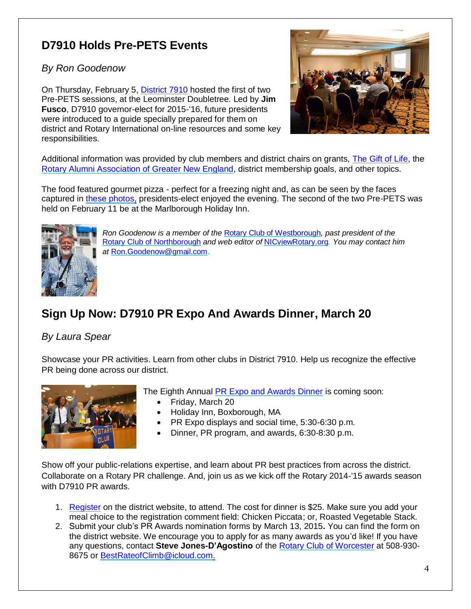# <span id="page-3-0"></span>**D7910 Holds Pre-PETS Events**

*By Ron Goodenow*

On Thursday, February 5, [District 7910](http://www.rotary7910.org/) hosted the first of two Pre-PETS sessions, at the Leominster Doubletree. Led by **Jim Fusco**, D7910 governor-elect for 2015-'16, future presidents were introduced to a guide specially prepared for them on district and Rotary International on-line resources and some key responsibilities.



Additional information was provided by club members and district chairs on grants, [The Gift of Life,](http://www.golne.org/) the [Rotary Alumni Association of Greater New England,](http://www.raagne.com/) district membership goals, and other topics.

The food featured gourmet pizza - perfect for a freezing night and, as can be seen by the faces captured in [these photos,](https://www.facebook.com/RotaryDistrict7910/photos/pcb.10153008584183077/10153008581978077/?type=1&theater) presidents-elect enjoyed the evening. The second of the two Pre-PETS was held on February 11 be at the Marlborough Holiday Inn.



*Ron Goodenow is a member of the* [Rotary Club of Westborough](http://www.westboroughrotary.org/)*, past president of the*  [Rotary Club of Northborough](https://www.facebook.com/NorthboroMARotaryClub) *and web editor of* [NICviewRotary.org](http://www.nicviewrotary.org/)*. You may contact him at* [Ron.Goodenow@gmail.com](mailto:Ron.Goodenow@gmail.com).

# <span id="page-3-1"></span>**Sign Up Now: D7910 PR Expo And Awards Dinner, March 20**

#### *By Laura Spear*

Showcase your PR activities. Learn from other clubs in District 7910. Help us recognize the effective PR being done across our district.



The Eighth Annual [PR Expo and Awards Dinner](http://www.rotary7910.org/Event/4108b610-7ad7-470b-a126-f2c7046adb69) is coming soon:

- Friday, March 20
- Holiday Inn, Boxborough, MA
- PR Expo displays and social time, 5:30-6:30 p.m.
- Dinner, PR program, and awards, 6:30-8:30 p.m.

Show off your public-relations expertise, and learn about PR best practices from across the district. Collaborate on a Rotary PR challenge. And, join us as we kick off the Rotary 2014-'15 awards season with D7910 PR awards.

- 1. [Register](http://www.rotary7910.org/Event/4108b610-7ad7-470b-a126-f2c7046adb69) on the district website, to attend. The cost for dinner is \$25. Make sure you add your meal choice to the registration comment field: Chicken Piccata; or, Roasted Vegetable Stack.
- 2. Submit your club's PR Awards nomination forms by March 13, 2015**.** You can find the form on the district website. We encourage you to apply for as many awards as you'd like! If you have any questions, contact **Steve Jones-D'Agostino** of the [Rotary Club of Worcester](http://www.worcrotaryusa.org/) at 508-930- 8675 or [BestRateofClimb@icloud.com.](mailto:BestRateofClimb@icloud.com)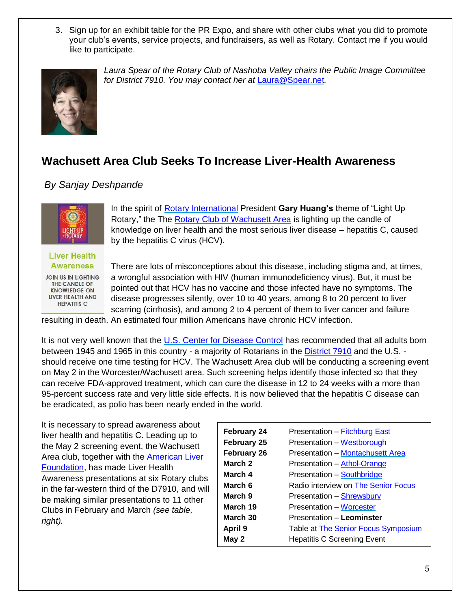3. Sign up for an exhibit table for the PR Expo, and share with other clubs what you did to promote your club's events, service projects, and fundraisers, as well as Rotary. Contact me if you would like to participate.



*Laura Spear of the Rotary Club of Nashoba Valley chairs the Public Image Committee for District 7910. You may contact her at* [Laura@Spear.net](mailto:Laura@Spear.net)*.*

#### **Wachusett Area Club Seeks To Increase Liver-Health Awareness**

#### *By Sanjay Deshpande*



In the spirit of [Rotary International](http://www.rotary.org/) President **Gary Huang's** theme of "Light Up Rotary," the The [Rotary Club of Wachusett Area](http://www.wachusettarearotary.org/) is lighting up the candle of knowledge on liver health and the most serious liver disease – hepatitis C, caused by the hepatitis C virus (HCV).

**Liver Health Awareness** 

JOIN US IN LIGHTING THE CANDLE OF **KNOWLEDGE ON** LIVER HEALTH AND **HEPATITIS C.** 

There are lots of misconceptions about this disease, including stigma and, at times, a wrongful association with HIV (human immunodeficiency virus). But, it must be pointed out that HCV has no vaccine and those infected have no symptoms. The disease progresses silently, over 10 to 40 years, among 8 to 20 percent to liver scarring (cirrhosis), and among 2 to 4 percent of them to liver cancer and failure

resulting in death. An estimated four million Americans have chronic HCV infection.

It is not very well known that the [U.S. Center for Disease Control](http://www.cdc.gov/) has recommended that all adults born between 1945 and 1965 in this country - a majority of Rotarians in the **District 7910** and the U.S. should receive one time testing for HCV. The Wachusett Area club will be conducting a screening event on May 2 in the Worcester/Wachusett area. Such screening helps identify those infected so that they can receive FDA-approved treatment, which can cure the disease in 12 to 24 weeks with a more than 95-percent success rate and very little side effects. It is now believed that the hepatitis C disease can be eradicated, as polio has been nearly ended in the world.

It is necessary to spread awareness about liver health and hepatitis C. Leading up to the May 2 screening event, the Wachusett Area club, together with the [American Liver](http://www.liverfoundation.org/)  [Foundation,](http://www.liverfoundation.org/) has made Liver Health Awareness presentations at six Rotary clubs in the far-western third of the D7910, and will be making similar presentations to 11 other Clubs in February and March *(see table, right).*

| <b>February 24</b> | <b>Presentation - Fitchburg East</b>       |
|--------------------|--------------------------------------------|
| <b>February 25</b> | Presentation - Westborough                 |
| <b>February 26</b> | <b>Presentation – Montachusett Area</b>    |
| March 2            | Presentation - Athol-Orange                |
| March 4            | Presentation - Southbridge                 |
| March 6            | Radio interview on The Senior Focus        |
| March 9            | Presentation - Shrewsbury                  |
| March 19           | <b>Presentation – Worcester</b>            |
| March 30           | Presentation - Leominster                  |
| April 9            | Table at <b>The Senior Focus Symposium</b> |
| May 2              | <b>Hepatitis C Screening Event</b>         |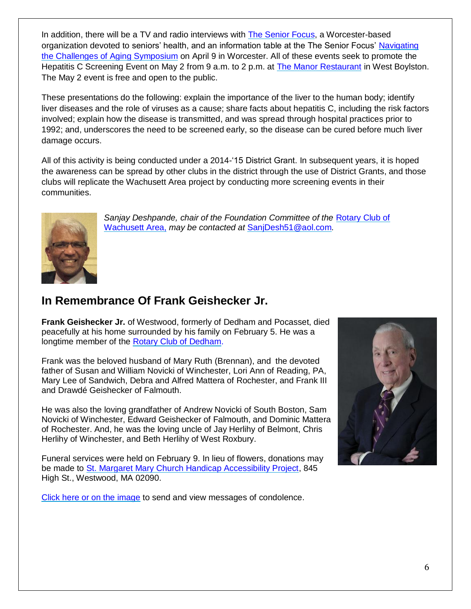In addition, there will be a TV and radio interviews with [The Senior Focus,](https://theseniorfocus.com/) a Worcester-based organization devoted to seniors' health, and an information table at the The Senior Focus' [Navigating](https://theseniorfocus.com/2015-navigating-the-challenges-of-aging/)  the Challenges [of Aging Symposium](https://theseniorfocus.com/2015-navigating-the-challenges-of-aging/) on April 9 in Worcester. All of these events seek to promote the Hepatitis C Screening Event on May 2 from 9 a.m. to 2 p.m. at [The Manor Restaurant](http://www.ourmanor.com/) in West Boylston. The May 2 event is free and open to the public.

These presentations do the following: explain the importance of the liver to the human body; identify liver diseases and the role of viruses as a cause; share facts about hepatitis C, including the risk factors involved; explain how the disease is transmitted, and was spread through hospital practices prior to 1992; and, underscores the need to be screened early, so the disease can be cured before much liver damage occurs.

All of this activity is being conducted under a 2014-'15 District Grant. In subsequent years, it is hoped the awareness can be spread by other clubs in the district through the use of District Grants, and those clubs will replicate the Wachusett Area project by conducting more screening events in their communities.



Sanjay Deshpande, chair of the Foundation Committee of the Rotary Club of [Wachusett Area,](http://www.wachusettarearotary.org/) *may be contacted at* [SanjDesh51@aol.com](mailto:sanjdesh51@aol.com)*.*

## <span id="page-5-0"></span>**In Remembrance Of Frank Geishecker Jr.**

**Frank Geishecker Jr.** of Westwood, formerly of Dedham and Pocasset, died peacefully at his home surrounded by his family on February 5. He was a longtime member of the [Rotary Club of Dedham.](http://www.dedhamrotary.com/)

Frank was the beloved husband of Mary Ruth (Brennan), and the devoted father of Susan and William Novicki of Winchester, Lori Ann of Reading, PA, Mary Lee of Sandwich, Debra and Alfred Mattera of Rochester, and Frank III and Drawdé Geishecker of Falmouth.

He was also the loving grandfather of Andrew Novicki of South Boston, Sam Novicki of Winchester, Edward Geishecker of Falmouth, and Dominic Mattera of Rochester. And, he was the loving uncle of Jay Herlihy of Belmont, Chris Herlihy of Winchester, and Beth Herlihy of West Roxbury.

Funeral services were held on February 9. In lieu of flowers, donations may be made to [St. Margaret Mary Church Handicap Accessibility Project,](http://www.saintmmparish.org/) 845 High St., Westwood, MA 02090.

[Click here or on the image](http://www.gfdoherty.com/Obituaries.html) to send and view messages of condolence.